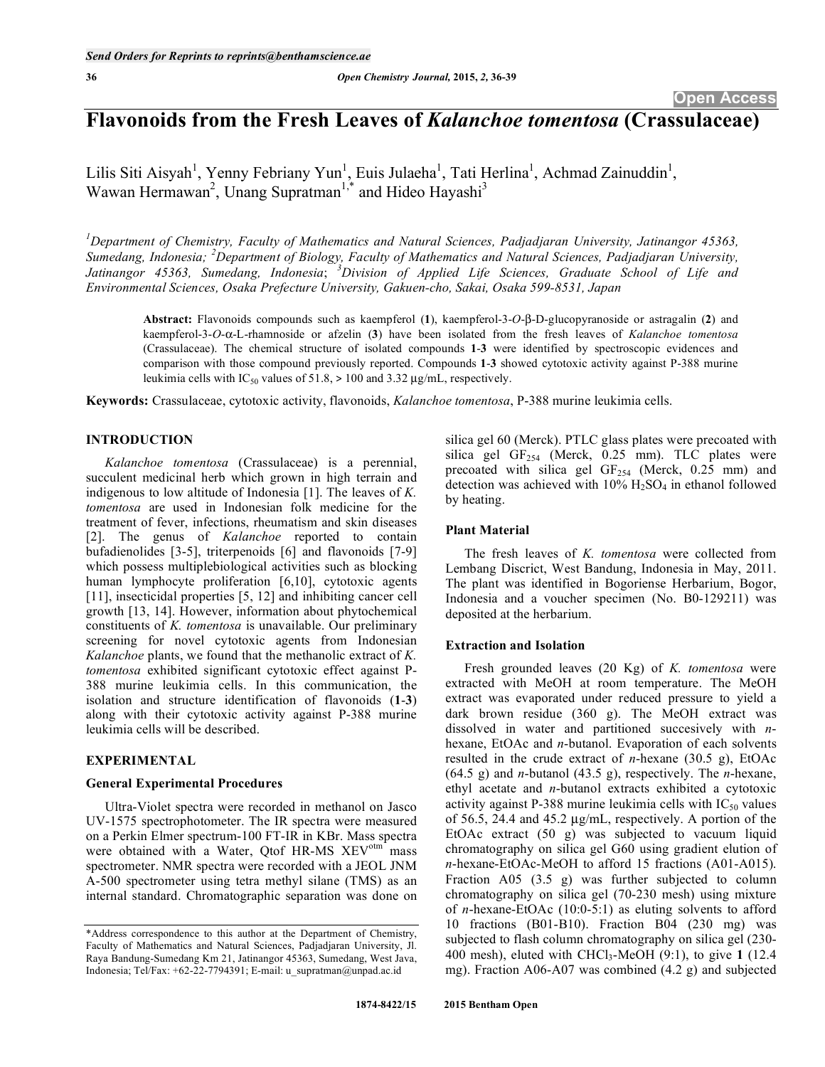# **Flavonoids from the Fresh Leaves of** *Kalanchoe tomentosa* **(Crassulaceae)**

Lilis Siti Aisyah<sup>1</sup>, Yenny Febriany Yun<sup>1</sup>, Euis Julaeha<sup>1</sup>, Tati Herlina<sup>1</sup>, Achmad Zainuddin<sup>1</sup>, Wawan Hermawan<sup>2</sup>, Unang Supratman<sup>1,\*</sup> and Hideo Hayashi<sup>3</sup>

<sup>1</sup> Department of Chemistry, Faculty of Mathematics and Natural Sciences, Padjadjaran University, Jatinangor 45363, *Sumedang, Indonesia; <sup>2</sup> Department of Biology, Faculty of Mathematics and Natural Sciences, Padjadjaran University, Jatinangor 45363, Sumedang, Indonesia*; *<sup>3</sup> Division of Applied Life Sciences, Graduate School of Life and Environmental Sciences, Osaka Prefecture University, Gakuen-cho, Sakai, Osaka 599-8531, Japan* 

Abstract: Flavonoids compounds such as kaempferol (1), kaempferol-3-O-β-D-glucopyranoside or astragalin (2) and kaempferol-3-*O*--L-rhamnoside or afzelin (**3**) have been isolated from the fresh leaves of *Kalanchoe tomentosa* (Crassulaceae). The chemical structure of isolated compounds **1**-**3** were identified by spectroscopic evidences and comparison with those compound previously reported. Compounds **1**-**3** showed cytotoxic activity against P-388 murine leukimia cells with  $IC_{50}$  values of 51.8, > 100 and 3.32  $\mu$ g/mL, respectively.

**Keywords:** Crassulaceae, cytotoxic activity, flavonoids, *Kalanchoe tomentosa*, P-388 murine leukimia cells.

# **INTRODUCTION**

*Kalanchoe tomentosa* (Crassulaceae) is a perennial, succulent medicinal herb which grown in high terrain and indigenous to low altitude of Indonesia [1]. The leaves of *K. tomentosa* are used in Indonesian folk medicine for the treatment of fever, infections, rheumatism and skin diseases [2]. The genus of *Kalanchoe* reported to contain bufadienolides [3-5], triterpenoids [6] and flavonoids [7-9] which possess multiplebiological activities such as blocking human lymphocyte proliferation [6,10], cytotoxic agents [11], insecticidal properties [5, 12] and inhibiting cancer cell growth [13, 14]. However, information about phytochemical constituents of *K. tomentosa* is unavailable. Our preliminary screening for novel cytotoxic agents from Indonesian *Kalanchoe* plants, we found that the methanolic extract of *K. tomentosa* exhibited significant cytotoxic effect against P-388 murine leukimia cells. In this communication, the isolation and structure identification of flavonoids (**1**-**3**) along with their cytotoxic activity against P-388 murine leukimia cells will be described.

## **EXPERIMENTAL**

# **General Experimental Procedures**

Ultra-Violet spectra were recorded in methanol on Jasco UV-1575 spectrophotometer. The IR spectra were measured on a Perkin Elmer spectrum-100 FT-IR in KBr. Mass spectra were obtained with a Water, Qtof HR-MS XEV<sup>otm</sup> mass spectrometer. NMR spectra were recorded with a JEOL JNM A-500 spectrometer using tetra methyl silane (TMS) as an internal standard. Chromatographic separation was done on silica gel 60 (Merck). PTLC glass plates were precoated with silica gel  $GF<sub>254</sub>$  (Merck, 0.25 mm). TLC plates were precoated with silica gel  $GF<sub>254</sub>$  (Merck, 0.25 mm) and detection was achieved with  $10\%$  H<sub>2</sub>SO<sub>4</sub> in ethanol followed by heating.

## **Plant Material**

The fresh leaves of *K. tomentosa* were collected from Lembang Discrict, West Bandung, Indonesia in May, 2011. The plant was identified in Bogoriense Herbarium, Bogor, Indonesia and a voucher specimen (No. B0-129211) was deposited at the herbarium.

## **Extraction and Isolation**

Fresh grounded leaves (20 Kg) of *K. tomentosa* were extracted with MeOH at room temperature. The MeOH extract was evaporated under reduced pressure to yield a dark brown residue (360 g). The MeOH extract was dissolved in water and partitioned succesively with *n*hexane, EtOAc and *n*-butanol. Evaporation of each solvents resulted in the crude extract of *n*-hexane (30.5 g), EtOAc (64.5 g) and *n*-butanol (43.5 g), respectively. The *n*-hexane, ethyl acetate and *n*-butanol extracts exhibited a cytotoxic activity against P-388 murine leukimia cells with  $IC_{50}$  values of 56.5, 24.4 and 45.2 μg/mL, respectively. A portion of the EtOAc extract (50 g) was subjected to vacuum liquid chromatography on silica gel G60 using gradient elution of *n*-hexane-EtOAc-MeOH to afford 15 fractions (A01-A015). Fraction A05 (3.5 g) was further subjected to column chromatography on silica gel (70-230 mesh) using mixture of *n*-hexane-EtOAc (10:0-5:1) as eluting solvents to afford 10 fractions (B01-B10). Fraction B04 (230 mg) was subjected to flash column chromatography on silica gel (230- 400 mesh), eluted with CHCl3-MeOH (9:1), to give **1** (12.4 mg). Fraction A06-A07 was combined (4.2 g) and subjected

<sup>\*</sup>Address correspondence to this author at the Department of Chemistry, Faculty of Mathematics and Natural Sciences, Padjadjaran University, Jl. Raya Bandung-Sumedang Km 21, Jatinangor 45363, Sumedang, West Java, Indonesia; Tel/Fax: +62-22-7794391; E-mail: u\_supratman@unpad.ac.id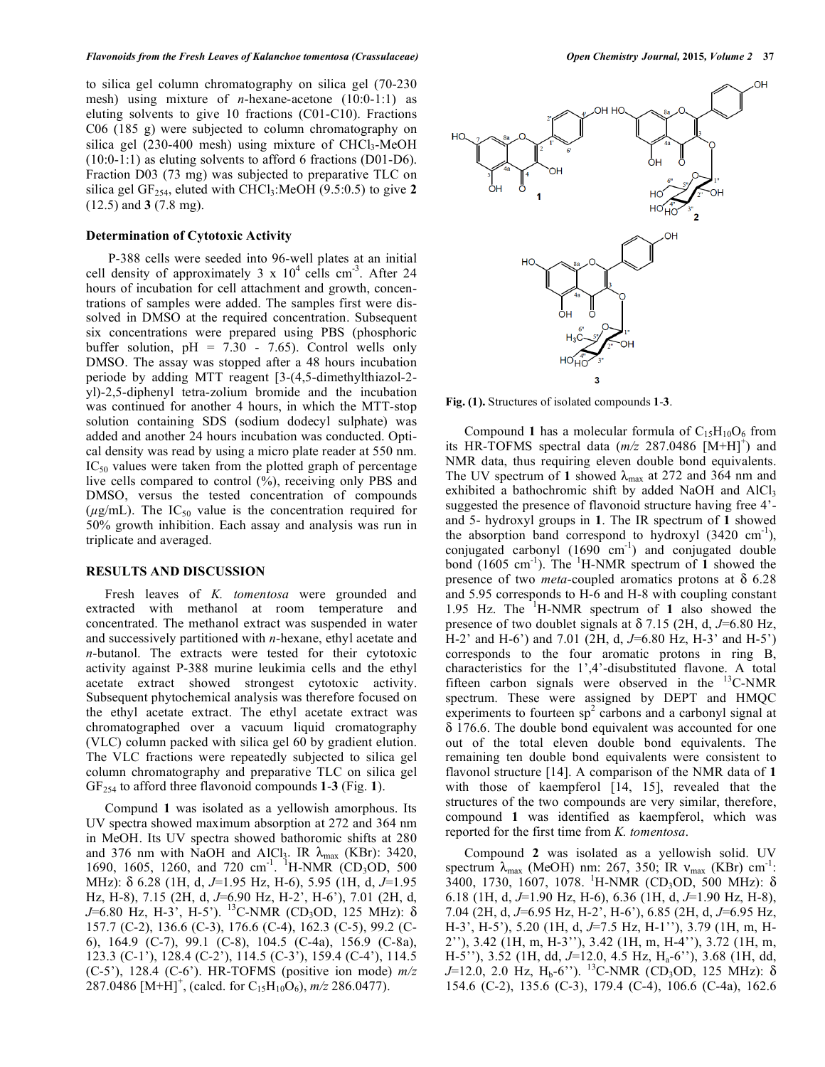to silica gel column chromatography on silica gel (70-230 mesh) using mixture of *n*-hexane-acetone (10:0-1:1) as eluting solvents to give 10 fractions (C01-C10). Fractions C06 (185 g) were subjected to column chromatography on silica gel  $(230-400 \text{ mesh})$  using mixture of CHCl<sub>3</sub>-MeOH (10:0-1:1) as eluting solvents to afford 6 fractions (D01-D6). Fraction D03 (73 mg) was subjected to preparative TLC on silica gel GF<sub>254</sub>, eluted with CHCl<sub>3</sub>:MeOH (9.5:0.5) to give 2 (12.5) and **3** (7.8 mg).

## **Determination of Cytotoxic Activity**

 P-388 cells were seeded into 96-well plates at an initial cell density of approximately  $3 \times 10^4$  cells cm<sup>-3</sup>. After 24 hours of incubation for cell attachment and growth, concentrations of samples were added. The samples first were dissolved in DMSO at the required concentration. Subsequent six concentrations were prepared using PBS (phosphoric buffer solution,  $pH = 7.30 - 7.65$ ). Control wells only DMSO. The assay was stopped after a 48 hours incubation periode by adding MTT reagent [3-(4,5-dimethylthiazol-2 yl)-2,5-diphenyl tetra-zolium bromide and the incubation was continued for another 4 hours, in which the MTT-stop solution containing SDS (sodium dodecyl sulphate) was added and another 24 hours incubation was conducted. Optical density was read by using a micro plate reader at 550 nm.  $IC_{50}$  values were taken from the plotted graph of percentage live cells compared to control (%), receiving only PBS and DMSO, versus the tested concentration of compounds  $(\mu g/mL)$ . The IC<sub>50</sub> value is the concentration required for 50% growth inhibition. Each assay and analysis was run in triplicate and averaged.

#### **RESULTS AND DISCUSSION**

Fresh leaves of *K. tomentosa* were grounded and extracted with methanol at room temperature and concentrated. The methanol extract was suspended in water and successively partitioned with *n*-hexane, ethyl acetate and *n*-butanol. The extracts were tested for their cytotoxic activity against P-388 murine leukimia cells and the ethyl acetate extract showed strongest cytotoxic activity. Subsequent phytochemical analysis was therefore focused on the ethyl acetate extract. The ethyl acetate extract was chromatographed over a vacuum liquid cromatography (VLC) column packed with silica gel 60 by gradient elution. The VLC fractions were repeatedly subjected to silica gel column chromatography and preparative TLC on silica gel GF254 to afford three flavonoid compounds **1**-**3** (Fig. **1**).

Compund **1** was isolated as a yellowish amorphous. Its UV spectra showed maximum absorption at 272 and 364 nm in MeOH. Its UV spectra showed bathoromic shifts at 280 and 376 nm with NaOH and AlCl<sub>3</sub>. IR  $\lambda_{\text{max}}$  (KBr): 3420, 1690, 1605, 1260, and 720 cm<sup>-1</sup>. <sup>1</sup>H-NMR (CD<sub>3</sub>OD, 500) MHz): 6.28 (1H, d, *J*=1.95 Hz, H-6), 5.95 (1H, d, *J*=1.95 Hz, H-8), 7.15 (2H, d, *J*=6.90 Hz, H-2', H-6'), 7.01 (2H, d, *J*=6.80 Hz, H-3', H-5'). <sup>13</sup>C-NMR (CD<sub>3</sub>OD, 125 MHz):  $\delta$ 157.7 (C-2), 136.6 (C-3), 176.6 (C-4), 162.3 (C-5), 99.2 (C-6), 164.9 (C-7), 99.1 (C-8), 104.5 (C-4a), 156.9 (C-8a), 123.3 (C-1'), 128.4 (C-2'), 114.5 (C-3'), 159.4 (C-4'), 114.5 (C-5'), 128.4 (C-6'). HR-TOFMS (positive ion mode) *m/z*  $287.0486$  [M+H]<sup>+</sup>, (calcd. for C<sub>15</sub>H<sub>10</sub>O<sub>6</sub>), *m/z* 286.0477).



**Fig. (1).** Structures of isolated compounds **1**-**3**.

Compound 1 has a molecular formula of  $C_{15}H_{10}O_6$  from its HR-TOFMS spectral data  $(m/z \ 287.0486 \overline{\mathrm{[M+H]}^+})$  and NMR data, thus requiring eleven double bond equivalents. The UV spectrum of 1 showed  $\lambda_{\text{max}}$  at 272 and 364 nm and exhibited a bathochromic shift by added NaOH and AlCl<sub>3</sub> suggested the presence of flavonoid structure having free 4' and 5- hydroxyl groups in **1**. The IR spectrum of **1** showed the absorption band correspond to hydroxyl  $(3420 \text{ cm}^{-1})$ , conjugated carbonyl  $(1690 \text{ cm}^{-1})$  and conjugated double bond  $(1605 \text{ cm}^{-1})$ . The <sup>1</sup>H-NMR spectrum of **1** showed the presence of two *meta*-coupled aromatics protons at  $\delta$  6.28 and 5.95 corresponds to H-6 and H-8 with coupling constant 1.95 Hz. The <sup>1</sup> H-NMR spectrum of **1** also showed the presence of two doublet signals at  $\delta$  7.15 (2H, d, J=6.80 Hz, H-2' and H-6') and 7.01 (2H, d, *J*=6.80 Hz, H-3' and H-5') corresponds to the four aromatic protons in ring B, characteristics for the 1',4'-disubstituted flavone. A total fifteen carbon signals were observed in the 13C-NMR spectrum. These were assigned by DEPT and HMQC experiments to fourteen  $sp^2$  carbons and a carbonyl signal at 176.6. The double bond equivalent was accounted for one out of the total eleven double bond equivalents. The remaining ten double bond equivalents were consistent to flavonol structure [14]. A comparison of the NMR data of **1** with those of kaempferol [14, 15], revealed that the structures of the two compounds are very similar, therefore, compound **1** was identified as kaempferol, which was reported for the first time from *K. tomentosa*.

Compound **2** was isolated as a yellowish solid. UV spectrum  $\lambda_{\text{max}}$  (MeOH) nm: 267, 350; IR  $v_{\text{max}}$  (KBr) cm<sup>-1</sup>:  $3400, 1730, 1607, 1078.$ <sup>1</sup>H-NMR (CD<sub>3</sub>OD, 500 MHz):  $\delta$ 6.18 (1H, d, *J*=1.90 Hz, H-6), 6.36 (1H, d, *J*=1.90 Hz, H-8), 7.04 (2H, d, *J*=6.95 Hz, H-2', H-6'), 6.85 (2H, d, *J*=6.95 Hz, H-3', H-5'), 5.20 (1H, d, *J*=7.5 Hz, H-1''), 3.79 (1H, m, H-2''), 3.42 (1H, m, H-3''), 3.42 (1H, m, H-4''), 3.72 (1H, m, H-5''), 3.52 (1H, dd, *J*=12.0, 4.5 Hz, Ha-6''), 3.68 (1H, dd, *J*=12.0, 2.0 Hz, H<sub>b</sub>-6"). <sup>13</sup>C-NMR (CD<sub>3</sub>OD, 125 MHz):  $\delta$ 154.6 (C-2), 135.6 (C-3), 179.4 (C-4), 106.6 (C-4a), 162.6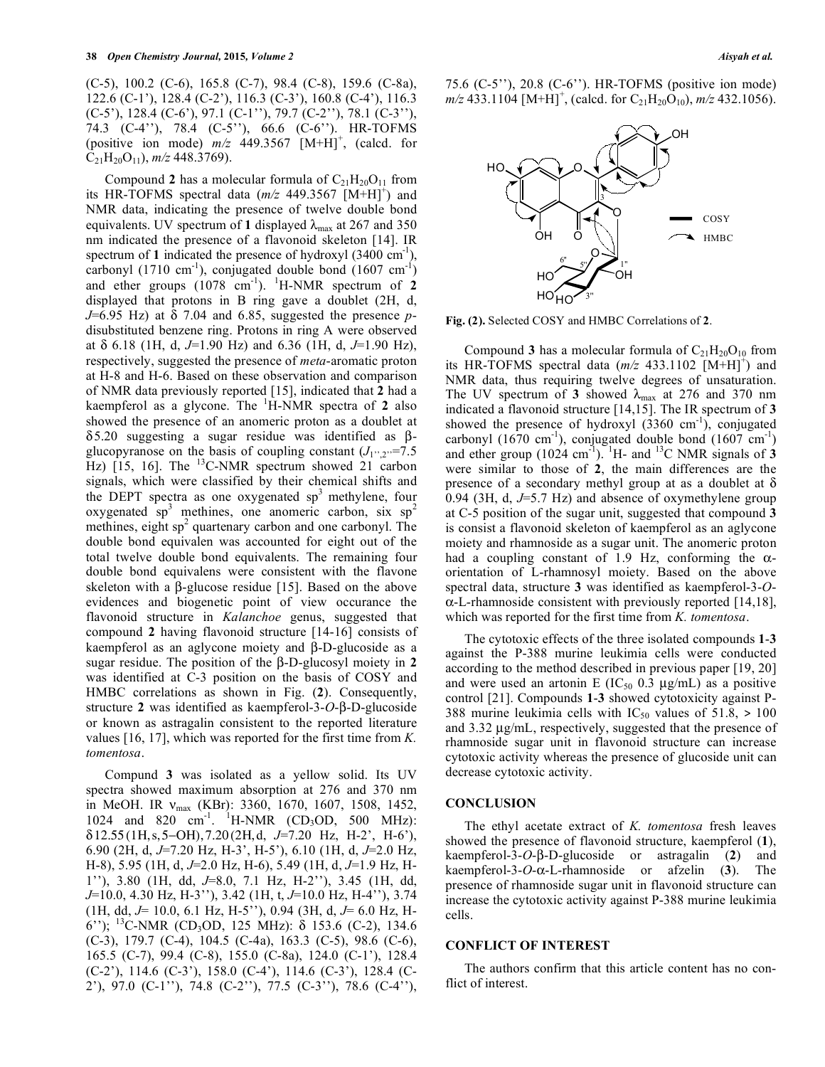(C-5), 100.2 (C-6), 165.8 (C-7), 98.4 (C-8), 159.6 (C-8a), 122.6 (C-1'), 128.4 (C-2'), 116.3 (C-3'), 160.8 (C-4'), 116.3 (C-5'), 128.4 (C-6'), 97.1 (C-1''), 79.7 (C-2''), 78.1 (C-3''), 74.3 (C-4''), 78.4 (C-5''), 66.6 (C-6''). HR-TOFMS (positive ion mode)  $m/z$  449.3567  $[M+H]$ <sup>+</sup>, (calcd. for C21H20O11), *m/z* 448.3769).

Compound 2 has a molecular formula of  $C_{21}H_{20}O_{11}$  from its HR-TOFMS spectral data  $(m/z$  449.3567 [M+H]<sup>+</sup>) and NMR data, indicating the presence of twelve double bond equivalents. UV spectrum of 1 displayed  $\lambda_{\text{max}}$  at 267 and 350 nm indicated the presence of a flavonoid skeleton [14]. IR spectrum of 1 indicated the presence of hydroxyl  $(3400 \text{ cm}^{-1})$ , carbonyl (1710 cm<sup>-1</sup>), conjugated double bond (1607 cm<sup>-1</sup>) and ether groups  $(1078 \text{ cm}^{-1})$ . <sup>1</sup>H-NMR spectrum of 2 displayed that protons in B ring gave a doublet (2H, d,  $J=6.95$  Hz) at  $\delta$  7.04 and 6.85, suggested the presence *p*disubstituted benzene ring. Protons in ring A were observed at 6.18 (1H, d, *J*=1.90 Hz) and 6.36 (1H, d, *J*=1.90 Hz), respectively, suggested the presence of *meta*-aromatic proton at H-8 and H-6. Based on these observation and comparison of NMR data previously reported [15], indicated that **2** had a kaempferol as a glycone. The <sup>1</sup> H-NMR spectra of **2** also showed the presence of an anomeric proton as a doublet at  $\delta$ 5.20 suggesting a sugar residue was identified as  $\beta$ glucopyranose on the basis of coupling constant  $(J_1, J_2)$ =7.5 Hz) [15, 16]. The <sup>13</sup>C-NMR spectrum showed 21 carbon signals, which were classified by their chemical shifts and the DEPT spectra as one oxygenated  $sp<sup>3</sup>$  methylene, four oxygenated  $sp^3$  methines, one anomeric carbon, six  $sp^2$ methines, eight sp<sup>2</sup> quartenary carbon and one carbonyl. The double bond equivalen was accounted for eight out of the total twelve double bond equivalents. The remaining four double bond equivalens were consistent with the flavone skeleton with a  $\beta$ -glucose residue [15]. Based on the above evidences and biogenetic point of view occurance the flavonoid structure in *Kalanchoe* genus, suggested that compound **2** having flavonoid structure [14-16] consists of kaempferol as an aglycone moiety and  $\beta$ -D-glucoside as a sugar residue. The position of the  $\beta$ -D-glucosyl moiety in 2 was identified at C-3 position on the basis of COSY and HMBC correlations as shown in Fig. (**2**). Consequently, structure 2 was identified as kaempferol- $3$ - $O$ - $\beta$ - $D$ -glucoside or known as astragalin consistent to the reported literature values [16, 17], which was reported for the first time from *K. tomentosa*.

Compund **3** was isolated as a yellow solid. Its UV spectra showed maximum absorption at 276 and 370 nm in MeOH. IR  $v_{\text{max}}$  (KBr): 3360, 1670, 1607, 1508, 1452, 1024 and 820 cm<sup>-1</sup>. <sup>1</sup>H-NMR (CD<sub>3</sub>OD, 500 MHz):  $\delta$ 12.55 (1H, s, 5–OH), 7.20 (2H, d, J=7.20 Hz, H-2', H-6'), 6.90 (2H, d, *J*=7.20 Hz, H-3', H-5'), 6.10 (1H, d, *J*=2.0 Hz, H-8), 5.95 (1H, d, *J*=2.0 Hz, H-6), 5.49 (1H, d, *J*=1.9 Hz, H-1''), 3.80 (1H, dd, *J*=8.0, 7.1 Hz, H-2''), 3.45 (1H, dd, *J*=10.0, 4.30 Hz, H-3''), 3.42 (1H, t, *J*=10.0 Hz, H-4''), 3.74 (1H, dd, *J*= 10.0, 6.1 Hz, H-5''), 0.94 (3H, d, *J*= 6.0 Hz, H-6"); <sup>13</sup>C-NMR (CD<sub>3</sub>OD, 125 MHz):  $\delta$  153.6 (C-2), 134.6 (C-3), 179.7 (C-4), 104.5 (C-4a), 163.3 (C-5), 98.6 (C-6), 165.5 (C-7), 99.4 (C-8), 155.0 (C-8a), 124.0 (C-1'), 128.4 (C-2'), 114.6 (C-3'), 158.0 (C-4'), 114.6 (C-3'), 128.4 (C-2'), 97.0 (C-1''), 74.8 (C-2''), 77.5 (C-3''), 78.6 (C-4''),

75.6 (C-5''), 20.8 (C-6''). HR-TOFMS (positive ion mode)  $m/z$  433.1104 [M+H]<sup>+</sup>, (calcd. for C<sub>21</sub>H<sub>20</sub>O<sub>10</sub>),  $m/z$  432.1056).



**Fig. (2).** Selected COSY and HMBC Correlations of **2**.

Compound **3** has a molecular formula of  $C_{21}H_{20}O_{10}$  from its HR-TOFMS spectral data  $(m/z$  433.1102  $\overrightarrow{[M+H]}^+$  and NMR data, thus requiring twelve degrees of unsaturation. The UV spectrum of 3 showed  $\lambda_{\text{max}}$  at 276 and 370 nm indicated a flavonoid structure [14,15]. The IR spectrum of **3** showed the presence of hydroxyl  $(3360 \text{ cm}^{-1})$ , conjugated carbonyl (1670 cm<sup>-1</sup>), conjugated double bond (1607 cm<sup>-1</sup>) and ether group  $(1024 \text{ cm}^3)$ . <sup>1</sup>H- and <sup>13</sup>C NMR signals of **3** were similar to those of **2**, the main differences are the presence of a secondary methyl group at as a doublet at  $\delta$ 0.94 (3H, d, *J*=5.7 Hz) and absence of oxymethylene group at C-5 position of the sugar unit, suggested that compound **3** is consist a flavonoid skeleton of kaempferol as an aglycone moiety and rhamnoside as a sugar unit. The anomeric proton had a coupling constant of 1.9 Hz, conforming the  $\alpha$ orientation of L-rhamnosyl moiety. Based on the above spectral data, structure **3** was identified as kaempferol-3-*O*-  $\alpha$ -L-rhamnoside consistent with previously reported [14,18], which was reported for the first time from *K. tomentosa*.

The cytotoxic effects of the three isolated compounds **1**-**3** against the P-388 murine leukimia cells were conducted according to the method described in previous paper [19, 20] and were used an artonin E ( $IC_{50}$  0.3  $\mu$ g/mL) as a positive control [21]. Compounds **1**-**3** showed cytotoxicity against P-388 murine leukimia cells with  $IC_{50}$  values of 51.8, > 100 and 3.32 μg/mL, respectively, suggested that the presence of rhamnoside sugar unit in flavonoid structure can increase cytotoxic activity whereas the presence of glucoside unit can decrease cytotoxic activity.

#### **CONCLUSION**

The ethyl acetate extract of *K. tomentosa* fresh leaves showed the presence of flavonoid structure, kaempferol (**1**),  $k$ aempferol-3-*O*- $\beta$ -D-glucoside or astragalin (2) and  $k$ aempferol-3-*O*- $\alpha$ -L-rhamnoside or afzelin (3). The presence of rhamnoside sugar unit in flavonoid structure can increase the cytotoxic activity against P-388 murine leukimia cells.

#### **CONFLICT OF INTEREST**

The authors confirm that this article content has no conflict of interest.